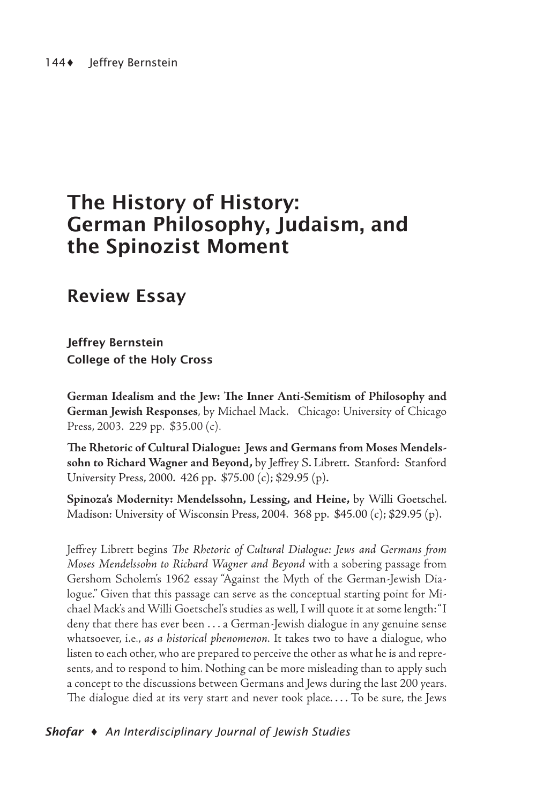# The History of History: German Philosophy, Judaism, and the Spinozist Moment

# Review Essay

Jeffrey Bernstein College of the Holy Cross

**German Idealism and the Jew: The Inner Anti-Semitism of Philosophy and German Jewish Responses**, by Michael Mack. Chicago: University of Chicago Press, 2003. 229 pp. \$35.00 (c).

**The Rhetoric of Cultural Dialogue: Jews and Germans from Moses Mendelssohn to Richard Wagner and Beyond,** by Jeffrey S. Librett. Stanford: Stanford University Press, 2000. 426 pp. \$75.00 (c); \$29.95 (p).

**Spinoza's Modernity: Mendelssohn, Lessing, and Heine,** by Willi Goetschel. Madison: University of Wisconsin Press, 2004. 368 pp. \$45.00 (c); \$29.95 (p).

Jeffrey Librett begins *The Rhetoric of Cultural Dialogue: Jews and Germans from Moses Mendelssohn to Richard Wagner and Beyond* with a sobering passage from Gershom Scholem's 1962 essay "Against the Myth of the German-Jewish Dialogue." Given that this passage can serve as the conceptual starting point for Michael Mack's and Willi Goetschel's studies as well, I will quote it at some length: "I deny that there has ever been . . . a German-Jewish dialogue in any genuine sense whatsoever, i.e., *as a historical phenomenon.* It takes two to have a dialogue, who listen to each other, who are prepared to perceive the other as what he is and represents, and to respond to him. Nothing can be more misleading than to apply such a concept to the discussions between Germans and Jews during the last 200 years. The dialogue died at its very start and never took place. . . . To be sure, the Jews

# *Shofar* ♦ *An Interdisciplinary Journal of Jewish Studies*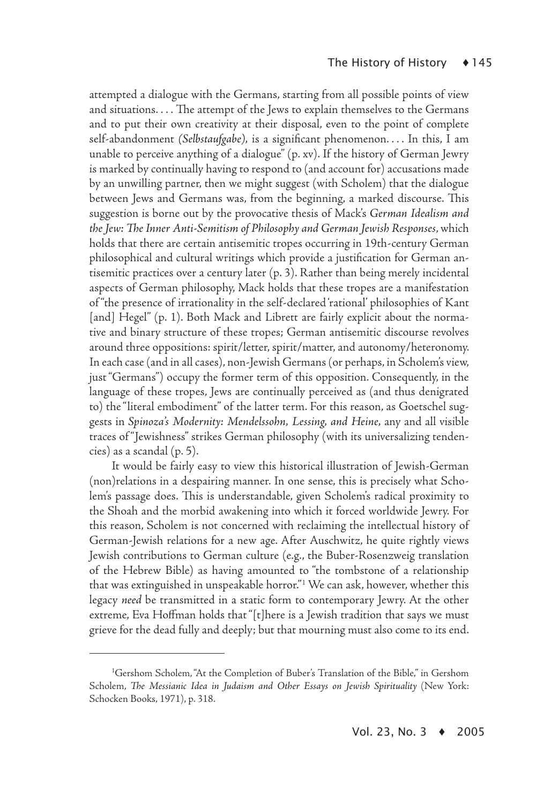attempted a dialogue with the Germans, starting from all possible points of view and situations. . . . The attempt of the Jews to explain themselves to the Germans and to put their own creativity at their disposal, even to the point of complete self-abandonment *(Selbstaufgabe),* is a significant phenomenon. . . . In this, I am unable to perceive anything of a dialogue" (p. xv). If the history of German Jewry is marked by continually having to respond to (and account for) accusations made by an unwilling partner, then we might suggest (with Scholem) that the dialogue between Jews and Germans was, from the beginning, a marked discourse. This suggestion is borne out by the provocative thesis of Mack's *German Idealism and the Jew: The Inner Anti-Semitism of Philosophy and German Jewish Responses*, which holds that there are certain antisemitic tropes occurring in 19th-century German philosophical and cultural writings which provide a justification for German antisemitic practices over a century later (p. 3). Rather than being merely incidental aspects of German philosophy, Mack holds that these tropes are a manifestation of "the presence of irrationality in the self-declared 'rational' philosophies of Kant [and] Hegel" (p. 1). Both Mack and Librett are fairly explicit about the normative and binary structure of these tropes; German antisemitic discourse revolves around three oppositions: spirit/letter, spirit/matter, and autonomy/heteronomy. In each case (and in all cases), non-Jewish Germans (or perhaps, in Scholem's view, just "Germans") occupy the former term of this opposition. Consequently, in the language of these tropes, Jews are continually perceived as (and thus denigrated to) the "literal embodiment" of the latter term. For this reason, as Goetschel suggests in *Spinoza's Modernity: Mendelssohn, Lessing, and Heine,* any and all visible traces of "Jewishness" strikes German philosophy (with its universalizing tendencies) as a scandal (p. 5).

It would be fairly easy to view this historical illustration of Jewish-German (non)relations in a despairing manner. In one sense, this is precisely what Scholem's passage does. This is understandable, given Scholem's radical proximity to the Shoah and the morbid awakening into which it forced worldwide Jewry. For this reason, Scholem is not concerned with reclaiming the intellectual history of German-Jewish relations for a new age. After Auschwitz, he quite rightly views Jewish contributions to German culture (e.g., the Buber-Rosenzweig translation of the Hebrew Bible) as having amounted to "the tombstone of a relationship that was extinguished in unspeakable horror."1 We can ask, however, whether this legacy *need* be transmitted in a static form to contemporary Jewry. At the other extreme, Eva Hoffman holds that "[t]here is a Jewish tradition that says we must grieve for the dead fully and deeply; but that mourning must also come to its end.

<sup>&</sup>lt;sup>1</sup>Gershom Scholem, "At the Completion of Buber's Translation of the Bible," in Gershom Scholem, *The Messianic Idea in Judaism and Other Essays on Jewish Spirituality* (New York: Schocken Books, 1971), p. 318.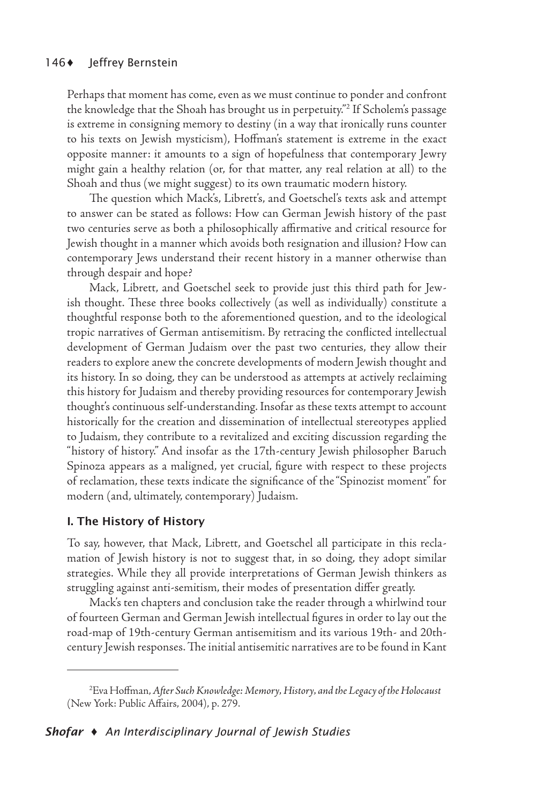#### 146♦ Jeffrey Bernstein

Perhaps that moment has come, even as we must continue to ponder and confront the knowledge that the Shoah has brought us in perpetuity."2 If Scholem's passage is extreme in consigning memory to destiny (in a way that ironically runs counter to his texts on Jewish mysticism), Hoffman's statement is extreme in the exact opposite manner: it amounts to a sign of hopefulness that contemporary Jewry might gain a healthy relation (or, for that matter, any real relation at all) to the Shoah and thus (we might suggest) to its own traumatic modern history.

The question which Mack's, Librett's, and Goetschel's texts ask and attempt to answer can be stated as follows: How can German Jewish history of the past two centuries serve as both a philosophically affirmative and critical resource for Jewish thought in a manner which avoids both resignation and illusion? How can contemporary Jews understand their recent history in a manner otherwise than through despair and hope?

Mack, Librett, and Goetschel seek to provide just this third path for Jewish thought. These three books collectively (as well as individually) constitute a thoughtful response both to the aforementioned question, and to the ideological tropic narratives of German antisemitism. By retracing the conflicted intellectual development of German Judaism over the past two centuries, they allow their readers to explore anew the concrete developments of modern Jewish thought and its history. In so doing, they can be understood as attempts at actively reclaiming this history for Judaism and thereby providing resources for contemporary Jewish thought's continuous self-understanding. Insofar as these texts attempt to account historically for the creation and dissemination of intellectual stereotypes applied to Judaism, they contribute to a revitalized and exciting discussion regarding the "history of history." And insofar as the 17th-century Jewish philosopher Baruch Spinoza appears as a maligned, yet crucial, figure with respect to these projects of reclamation, these texts indicate the significance of the "Spinozist moment" for modern (and, ultimately, contemporary) Judaism.

## I. The History of History

To say, however, that Mack, Librett, and Goetschel all participate in this reclamation of Jewish history is not to suggest that, in so doing, they adopt similar strategies. While they all provide interpretations of German Jewish thinkers as struggling against anti-semitism, their modes of presentation differ greatly.

Mack's ten chapters and conclusion take the reader through a whirlwind tour of fourteen German and German Jewish intellectual figures in order to lay out the road-map of 19th-century German antisemitism and its various 19th- and 20thcentury Jewish responses. The initial antisemitic narratives are to be found in Kant

<sup>2</sup> Eva Hoffman, *After Such Knowledge: Memory, History, and the Legacy of the Holocaust* (New York: Public Affairs, 2004), p. 279.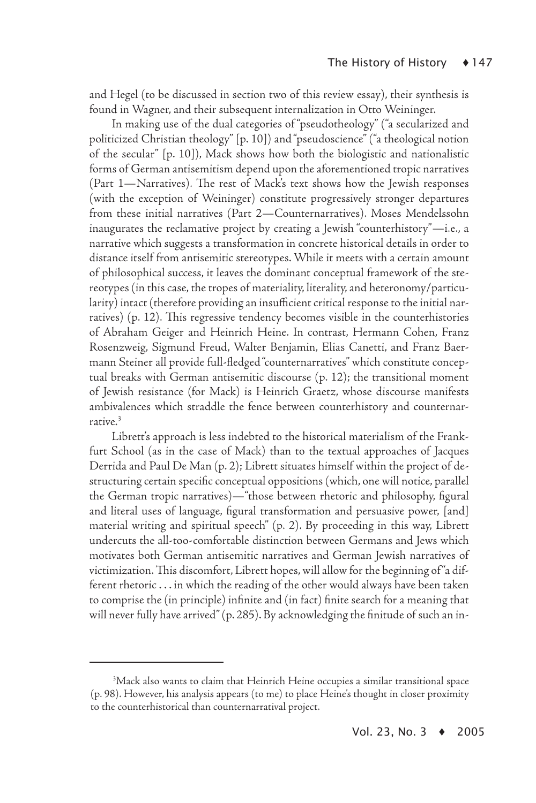and Hegel (to be discussed in section two of this review essay), their synthesis is found in Wagner, and their subsequent internalization in Otto Weininger.

In making use of the dual categories of "pseudotheology" ("a secularized and politicized Christian theology" [p. 10]) and "pseudoscience" ("a theological notion of the secular" [p. 10]), Mack shows how both the biologistic and nationalistic forms of German antisemitism depend upon the aforementioned tropic narratives (Part 1—Narratives). The rest of Mack's text shows how the Jewish responses (with the exception of Weininger) constitute progressively stronger departures from these initial narratives (Part 2—Counternarratives). Moses Mendelssohn inaugurates the reclamative project by creating a Jewish "counterhistory"—i.e., a narrative which suggests a transformation in concrete historical details in order to distance itself from antisemitic stereotypes. While it meets with a certain amount of philosophical success, it leaves the dominant conceptual framework of the stereotypes (in this case, the tropes of materiality, literality, and heteronomy/particularity) intact (therefore providing an insufficient critical response to the initial narratives) (p. 12). This regressive tendency becomes visible in the counterhistories of Abraham Geiger and Heinrich Heine. In contrast, Hermann Cohen, Franz Rosenzweig, Sigmund Freud, Walter Benjamin, Elias Canetti, and Franz Baermann Steiner all provide full-fledged "counternarratives" which constitute conceptual breaks with German antisemitic discourse (p. 12); the transitional moment of Jewish resistance (for Mack) is Heinrich Graetz, whose discourse manifests ambivalences which straddle the fence between counterhistory and counternarrative.<sup>3</sup>

Librett's approach is less indebted to the historical materialism of the Frankfurt School (as in the case of Mack) than to the textual approaches of Jacques Derrida and Paul De Man (p. 2); Librett situates himself within the project of destructuring certain specific conceptual oppositions (which, one will notice, parallel the German tropic narratives)—"those between rhetoric and philosophy, figural and literal uses of language, figural transformation and persuasive power, [and] material writing and spiritual speech" (p. 2). By proceeding in this way, Librett undercuts the all-too-comfortable distinction between Germans and Jews which motivates both German antisemitic narratives and German Jewish narratives of victimization. This discomfort, Librett hopes, will allow for the beginning of "a different rhetoric . . . in which the reading of the other would always have been taken to comprise the (in principle) infinite and (in fact) finite search for a meaning that will never fully have arrived" (p. 285). By acknowledging the finitude of such an in-

<sup>3</sup> Mack also wants to claim that Heinrich Heine occupies a similar transitional space (p. 98). However, his analysis appears (to me) to place Heine's thought in closer proximity to the counterhistorical than counternarratival project.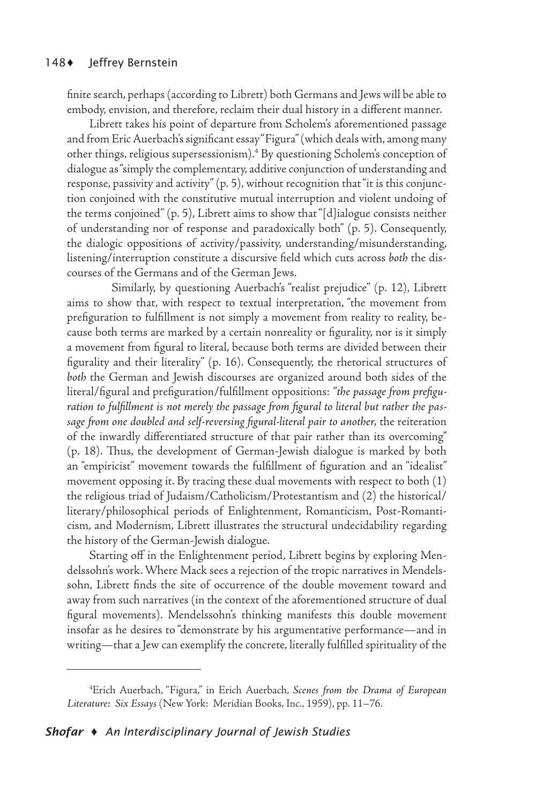#### 148♦ Jeffrey Bernstein

finite search, perhaps (according to Librett) both Germans and Jews will be able to embody, envision, and therefore, reclaim their dual history in a different manner.

Librett takes his point of departure from Scholem's aforementioned passage and from Eric Auerbach's significant essay "Figura" (which deals with, among many other things, religious supersessionism).4 By questioning Scholem's conception of dialogue as "simply the complementary, additive conjunction of understanding and response, passivity and activity" (p. 5), without recognition that "it is this conjunction conjoined with the constitutive mutual interruption and violent undoing of the terms conjoined" (p. 5), Librett aims to show that "[d]ialogue consists neither of understanding nor of response and paradoxically both" (p. 5). Consequently, the dialogic oppositions of activity/passivity, understanding/misunderstanding, listening/interruption constitute a discursive field which cuts across *both* the discourses of the Germans and of the German Jews.

 Similarly, by questioning Auerbach's "realist prejudice" (p. 12), Librett aims to show that, with respect to textual interpretation, "the movement from prefiguration to fulfillment is not simply a movement from reality to reality, because both terms are marked by a certain nonreality or figurality, nor is it simply a movement from figural to literal, because both terms are divided between their figurality and their literality" (p. 16). Consequently, the rhetorical structures of *both* the German and Jewish discourses are organized around both sides of the literal/figural and prefiguration/fulfillment oppositions: *"the passage from prefiguration to fulfillment is not merely the passage from figural to literal but rather the pas*sage from one doubled and self-reversing figural-literal pair to another, the reiteration of the inwardly differentiated structure of that pair rather than its overcoming" (p. 18). Thus, the development of German-Jewish dialogue is marked by both an "empiricist" movement towards the fulfillment of figuration and an "idealist" movement opposing it. By tracing these dual movements with respect to both (1) the religious triad of Judaism/Catholicism/Protestantism and (2) the historical/ literary/philosophical periods of Enlightenment, Romanticism, Post-Romanticism, and Modernism, Librett illustrates the structural undecidability regarding the history of the German-Jewish dialogue.

Starting off in the Enlightenment period, Librett begins by exploring Mendelssohn's work. Where Mack sees a rejection of the tropic narratives in Mendelssohn, Librett finds the site of occurrence of the double movement toward and away from such narratives (in the context of the aforementioned structure of dual figural movements). Mendelssohn's thinking manifests this double movement insofar as he desires to "demonstrate by his argumentative performance—and in writing—that a Jew can exemplify the concrete, literally fulfilled spirituality of the

<sup>4</sup> Erich Auerbach, "Figura," in Erich Auerbach, *Scenes from the Drama of European Literature: Six Essays* (New York: Meridian Books, Inc., 1959), pp. 11–76.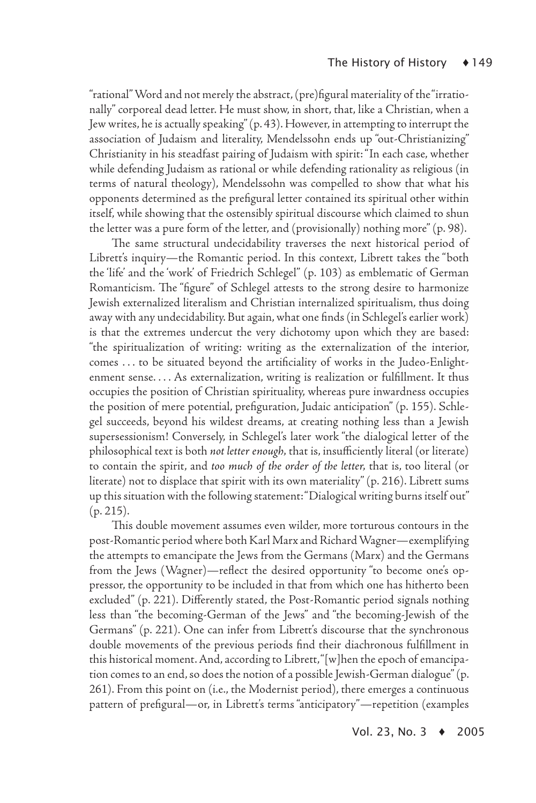"rational" Word and not merely the abstract, (pre)figural materiality of the "irrationally" corporeal dead letter. He must show, in short, that, like a Christian, when a Jew writes, he is actually speaking" (p. 43). However, in attempting to interrupt the association of Judaism and literality, Mendelssohn ends up "out-Christianizing" Christianity in his steadfast pairing of Judaism with spirit: "In each case, whether while defending Judaism as rational or while defending rationality as religious (in terms of natural theology), Mendelssohn was compelled to show that what his opponents determined as the prefigural letter contained its spiritual other within itself, while showing that the ostensibly spiritual discourse which claimed to shun the letter was a pure form of the letter, and (provisionally) nothing more" (p. 98).

The same structural undecidability traverses the next historical period of Librett's inquiry—the Romantic period. In this context, Librett takes the "both the 'life' and the 'work' of Friedrich Schlegel" (p. 103) as emblematic of German Romanticism. The "figure" of Schlegel attests to the strong desire to harmonize Jewish externalized literalism and Christian internalized spiritualism, thus doing away with any undecidability. But again, what one finds (in Schlegel's earlier work) is that the extremes undercut the very dichotomy upon which they are based: "the spiritualization of writing: writing as the externalization of the interior, comes . . . to be situated beyond the artificiality of works in the Judeo-Enlightenment sense. . . . As externalization, writing is realization or fulfillment. It thus occupies the position of Christian spirituality, whereas pure inwardness occupies the position of mere potential, prefiguration, Judaic anticipation" (p. 155). Schlegel succeeds, beyond his wildest dreams, at creating nothing less than a Jewish supersessionism! Conversely, in Schlegel's later work "the dialogical letter of the philosophical text is both *not letter enough,* that is, insufficiently literal (or literate) to contain the spirit, and *too much of the order of the letter,* that is, too literal (or literate) not to displace that spirit with its own materiality" (p. 216). Librett sums up this situation with the following statement: "Dialogical writing burns itself out" (p. 215).

This double movement assumes even wilder, more torturous contours in the post-Romantic period where both Karl Marx and Richard Wagner—exemplifying the attempts to emancipate the Jews from the Germans (Marx) and the Germans from the Jews (Wagner)—reflect the desired opportunity "to become one's oppressor, the opportunity to be included in that from which one has hitherto been excluded" (p. 221). Differently stated, the Post-Romantic period signals nothing less than "the becoming-German of the Jews" and "the becoming-Jewish of the Germans" (p. 221). One can infer from Librett's discourse that the synchronous double movements of the previous periods find their diachronous fulfillment in this historical moment. And, according to Librett, "[w]hen the epoch of emancipation comes to an end, so does the notion of a possible Jewish-German dialogue" (p. 261). From this point on (i.e., the Modernist period), there emerges a continuous pattern of prefigural—or, in Librett's terms "anticipatory"—repetition (examples

Vol. 23, No. 3 ♦ 2005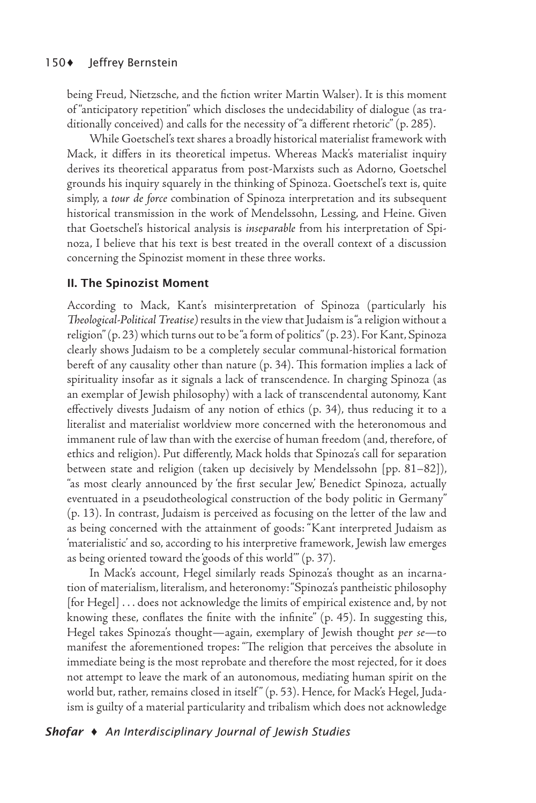being Freud, Nietzsche, and the fiction writer Martin Walser). It is this moment of "anticipatory repetition" which discloses the undecidability of dialogue (as traditionally conceived) and calls for the necessity of "a different rhetoric" (p. 285).

While Goetschel's text shares a broadly historical materialist framework with Mack, it differs in its theoretical impetus. Whereas Mack's materialist inquiry derives its theoretical apparatus from post-Marxists such as Adorno, Goetschel grounds his inquiry squarely in the thinking of Spinoza. Goetschel's text is, quite simply, a *tour de force* combination of Spinoza interpretation and its subsequent historical transmission in the work of Mendelssohn, Lessing, and Heine. Given that Goetschel's historical analysis is *inseparable* from his interpretation of Spinoza, I believe that his text is best treated in the overall context of a discussion concerning the Spinozist moment in these three works.

## II. The Spinozist Moment

According to Mack, Kant's misinterpretation of Spinoza (particularly his *Theological-Political Treatise)* results in the view that Judaism is "a religion without a religion" (p. 23) which turns out to be "a form of politics" (p. 23). For Kant, Spinoza clearly shows Judaism to be a completely secular communal-historical formation bereft of any causality other than nature (p. 34). This formation implies a lack of spirituality insofar as it signals a lack of transcendence. In charging Spinoza (as an exemplar of Jewish philosophy) with a lack of transcendental autonomy, Kant effectively divests Judaism of any notion of ethics (p. 34), thus reducing it to a literalist and materialist worldview more concerned with the heteronomous and immanent rule of law than with the exercise of human freedom (and, therefore, of ethics and religion). Put differently, Mack holds that Spinoza's call for separation between state and religion (taken up decisively by Mendelssohn [pp. 81–82]), "as most clearly announced by 'the first secular Jew,' Benedict Spinoza, actually eventuated in a pseudotheological construction of the body politic in Germany" (p. 13). In contrast, Judaism is perceived as focusing on the letter of the law and as being concerned with the attainment of goods: "Kant interpreted Judaism as 'materialistic' and so, according to his interpretive framework, Jewish law emerges as being oriented toward the 'goods of this world'" (p. 37).

In Mack's account, Hegel similarly reads Spinoza's thought as an incarnation of materialism, literalism, and heteronomy: "Spinoza's pantheistic philosophy [for Hegel] . . . does not acknowledge the limits of empirical existence and, by not knowing these, conflates the finite with the infinite" (p. 45). In suggesting this, Hegel takes Spinoza's thought—again, exemplary of Jewish thought *per se—*to manifest the aforementioned tropes: "The religion that perceives the absolute in immediate being is the most reprobate and therefore the most rejected, for it does not attempt to leave the mark of an autonomous, mediating human spirit on the world but, rather, remains closed in itself " (p. 53). Hence, for Mack's Hegel, Judaism is guilty of a material particularity and tribalism which does not acknowledge

#### *Shofar* ♦ *An Interdisciplinary Journal of Jewish Studies*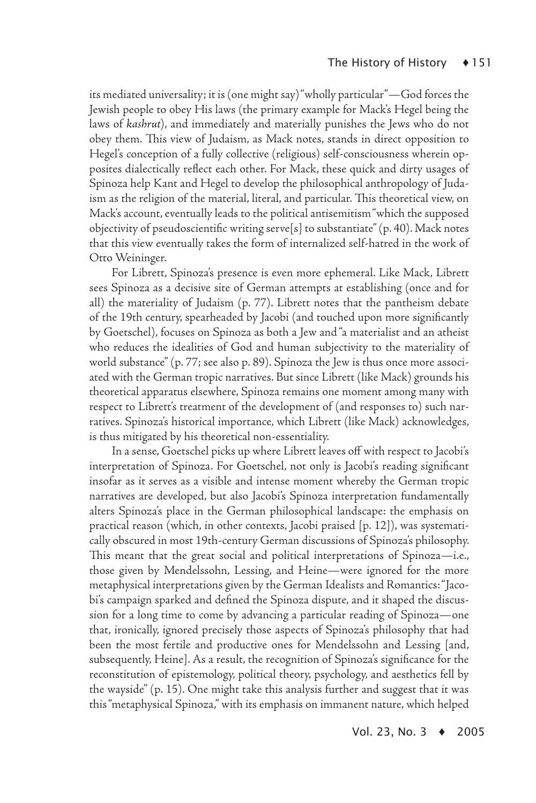its mediated universality; it is (one might say) "wholly particular"—God forces the Jewish people to obey His laws (the primary example for Mack's Hegel being the laws of *kashrut*), and immediately and materially punishes the Jews who do not obey them. This view of Judaism, as Mack notes, stands in direct opposition to Hegel's conception of a fully collective (religious) self-consciousness wherein opposites dialectically reflect each other. For Mack, these quick and dirty usages of Spinoza help Kant and Hegel to develop the philosophical anthropology of Judaism as the religion of the material, literal, and particular. This theoretical view, on Mack's account, eventually leads to the political antisemitism "which the supposed objectivity of pseudoscientific writing serve[s] to substantiate" (p. 40). Mack notes that this view eventually takes the form of internalized self-hatred in the work of Otto Weininger.

For Librett, Spinoza's presence is even more ephemeral. Like Mack, Librett sees Spinoza as a decisive site of German attempts at establishing (once and for all) the materiality of Judaism (p. 77). Librett notes that the pantheism debate of the 19th century, spearheaded by Jacobi (and touched upon more significantly by Goetschel), focuses on Spinoza as both a Jew and "a materialist and an atheist who reduces the idealities of God and human subjectivity to the materiality of world substance" (p. 77; see also p. 89). Spinoza the Jew is thus once more associated with the German tropic narratives. But since Librett (like Mack) grounds his theoretical apparatus elsewhere, Spinoza remains one moment among many with respect to Librett's treatment of the development of (and responses to) such narratives. Spinoza's historical importance, which Librett (like Mack) acknowledges, is thus mitigated by his theoretical non-essentiality.

In a sense, Goetschel picks up where Librett leaves off with respect to Jacobi's interpretation of Spinoza. For Goetschel, not only is Jacobi's reading significant insofar as it serves as a visible and intense moment whereby the German tropic narratives are developed, but also Jacobi's Spinoza interpretation fundamentally alters Spinoza's place in the German philosophical landscape: the emphasis on practical reason (which, in other contexts, Jacobi praised [p. 12]), was systematically obscured in most 19th-century German discussions of Spinoza's philosophy. This meant that the great social and political interpretations of Spinoza—i.e., those given by Mendelssohn, Lessing, and Heine—were ignored for the more metaphysical interpretations given by the German Idealists and Romantics: "Jacobi's campaign sparked and defined the Spinoza dispute, and it shaped the discussion for a long time to come by advancing a particular reading of Spinoza—one that, ironically, ignored precisely those aspects of Spinoza's philosophy that had been the most fertile and productive ones for Mendelssohn and Lessing [and, subsequently, Heine]. As a result, the recognition of Spinoza's significance for the reconstitution of epistemology, political theory, psychology, and aesthetics fell by the wayside" (p. 15). One might take this analysis further and suggest that it was this "metaphysical Spinoza," with its emphasis on immanent nature, which helped

Vol. 23, No. 3 ♦ 2005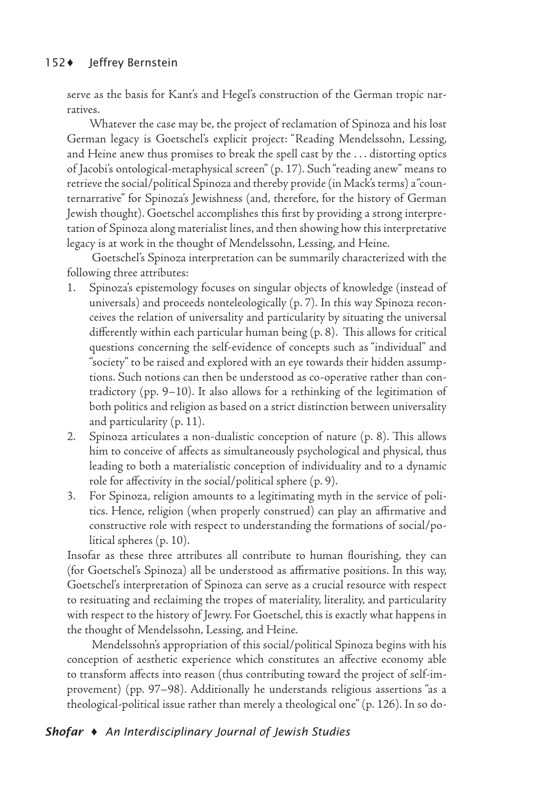serve as the basis for Kant's and Hegel's construction of the German tropic narratives.

Whatever the case may be, the project of reclamation of Spinoza and his lost German legacy is Goetschel's explicit project: "Reading Mendelssohn, Lessing, and Heine anew thus promises to break the spell cast by the . . . distorting optics of Jacobi's ontological-metaphysical screen" (p. 17). Such "reading anew" means to retrieve the social/political Spinoza and thereby provide (in Mack's terms) a "counternarrative" for Spinoza's Jewishness (and, therefore, for the history of German Jewish thought). Goetschel accomplishes this first by providing a strong interpretation of Spinoza along materialist lines, and then showing how this interpretative legacy is at work in the thought of Mendelssohn, Lessing, and Heine.

 Goetschel's Spinoza interpretation can be summarily characterized with the following three attributes:

- 1. Spinoza's epistemology focuses on singular objects of knowledge (instead of universals) and proceeds nonteleologically (p. 7). In this way Spinoza reconceives the relation of universality and particularity by situating the universal differently within each particular human being (p. 8). This allows for critical questions concerning the self-evidence of concepts such as "individual" and "society" to be raised and explored with an eye towards their hidden assumptions. Such notions can then be understood as co-operative rather than contradictory (pp. 9–10). It also allows for a rethinking of the legitimation of both politics and religion as based on a strict distinction between universality and particularity (p. 11).
- 2. Spinoza articulates a non-dualistic conception of nature (p. 8). This allows him to conceive of affects as simultaneously psychological and physical, thus leading to both a materialistic conception of individuality and to a dynamic role for affectivity in the social/political sphere (p. 9).
- 3. For Spinoza, religion amounts to a legitimating myth in the service of politics. Hence, religion (when properly construed) can play an affirmative and constructive role with respect to understanding the formations of social/political spheres (p. 10).

Insofar as these three attributes all contribute to human flourishing, they can (for Goetschel's Spinoza) all be understood as affirmative positions. In this way, Goetschel's interpretation of Spinoza can serve as a crucial resource with respect to resituating and reclaiming the tropes of materiality, literality, and particularity with respect to the history of Jewry. For Goetschel, this is exactly what happens in the thought of Mendelssohn, Lessing, and Heine.

 Mendelssohn's appropriation of this social/political Spinoza begins with his conception of aesthetic experience which constitutes an affective economy able to transform affects into reason (thus contributing toward the project of self-improvement) (pp. 97–98). Additionally he understands religious assertions "as a theological-political issue rather than merely a theological one" (p. 126). In so do-

# *Shofar* ♦ *An Interdisciplinary Journal of Jewish Studies*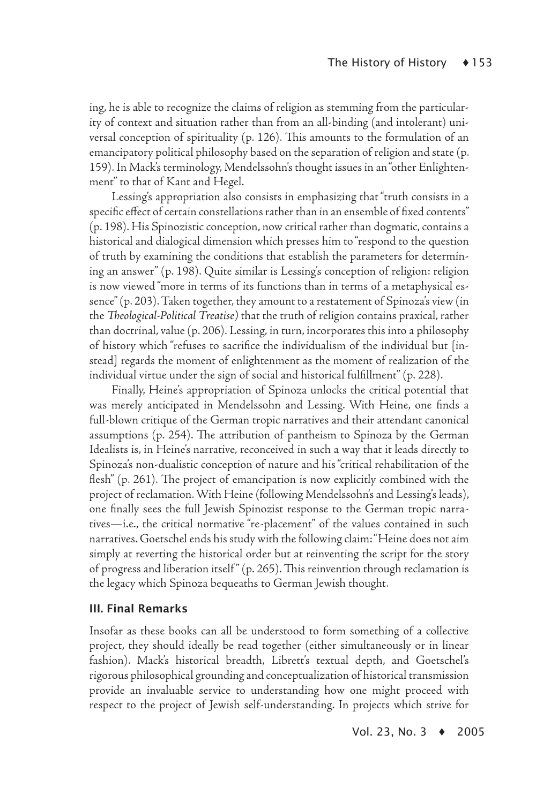ing, he is able to recognize the claims of religion as stemming from the particularity of context and situation rather than from an all-binding (and intolerant) universal conception of spirituality (p. 126). This amounts to the formulation of an emancipatory political philosophy based on the separation of religion and state (p. 159). In Mack's terminology, Mendelssohn's thought issues in an "other Enlightenment" to that of Kant and Hegel.

Lessing's appropriation also consists in emphasizing that "truth consists in a specific effect of certain constellations rather than in an ensemble of fixed contents" (p. 198). His Spinozistic conception, now critical rather than dogmatic, contains a historical and dialogical dimension which presses him to "respond to the question of truth by examining the conditions that establish the parameters for determining an answer" (p. 198). Quite similar is Lessing's conception of religion: religion is now viewed "more in terms of its functions than in terms of a metaphysical essence" (p. 203). Taken together, they amount to a restatement of Spinoza's view (in the *Theological-Political Treatise)* that the truth of religion contains praxical, rather than doctrinal, value (p. 206). Lessing, in turn, incorporates this into a philosophy of history which "refuses to sacrifice the individualism of the individual but [instead] regards the moment of enlightenment as the moment of realization of the individual virtue under the sign of social and historical fulfillment" (p. 228).

Finally, Heine's appropriation of Spinoza unlocks the critical potential that was merely anticipated in Mendelssohn and Lessing. With Heine, one finds a full-blown critique of the German tropic narratives and their attendant canonical assumptions (p. 254). The attribution of pantheism to Spinoza by the German Idealists is, in Heine's narrative, reconceived in such a way that it leads directly to Spinoza's non-dualistic conception of nature and his "critical rehabilitation of the flesh" (p. 261). The project of emancipation is now explicitly combined with the project of reclamation. With Heine (following Mendelssohn's and Lessing's leads), one finally sees the full Jewish Spinozist response to the German tropic narratives—i.e., the critical normative "re-placement" of the values contained in such narratives. Goetschel ends his study with the following claim: "Heine does not aim simply at reverting the historical order but at reinventing the script for the story of progress and liberation itself" (p. 265). This reinvention through reclamation is the legacy which Spinoza bequeaths to German Jewish thought.

#### III. Final Remarks

Insofar as these books can all be understood to form something of a collective project, they should ideally be read together (either simultaneously or in linear fashion). Mack's historical breadth, Librett's textual depth, and Goetschel's rigorous philosophical grounding and conceptualization of historical transmission provide an invaluable service to understanding how one might proceed with respect to the project of Jewish self-understanding. In projects which strive for